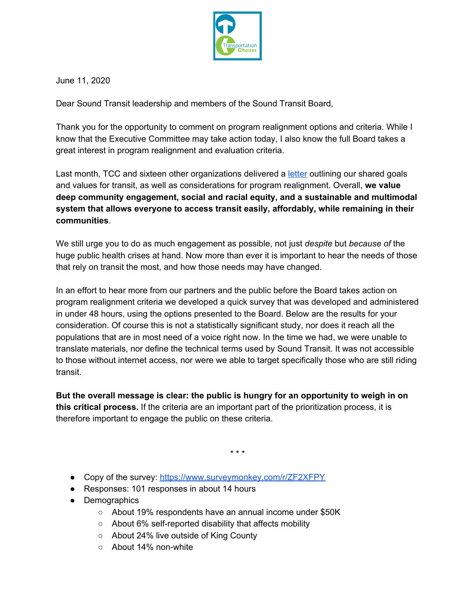

June 11, 2020

Dear Sound Transit leadership and members of the Sound Transit Board,

Thank you for the opportunity to comment on program realignment options and criteria. While I know that the Executive Committee may take action today, I also know the full Board takes a great interest in program realignment and evaluation criteria.

Last month, TCC and sixteen other organizations delivered a [letter](https://transportationchoices.org/wp-content/uploads/2020/05/Joint-Letter-to-ST-Board-on-Program-Realignment.pdf) outlining our shared goals and values for transit, as well as considerations for program realignment. Overall, **we value deep community engagement, social and racial equity, and a sustainable and multimodal system that allows everyone to access transit easily, affordably, while remaining in their communities**.

We still urge you to do as much engagement as possible, not just *despite* but *because of* the huge public health crises at hand. Now more than ever it is important to hear the needs of those that rely on transit the most, and how those needs may have changed.

In an effort to hear more from our partners and the public before the Board takes action on program realignment criteria we developed a quick survey that was developed and administered in under 48 hours, using the options presented to the Board. Below are the results for your consideration. Of course this is not a statistically significant study, nor does it reach all the populations that are in most need of a voice right now. In the time we had, we were unable to translate materials, nor define the technical terms used by Sound Transit. It was not accessible to those without internet access, nor were we able to target specifically those who are still riding transit.

**But the overall message is clear: the public is hungry for an opportunity to weigh in on this critical process.** If the criteria are an important part of the prioritization process, it is therefore important to engage the public on these criteria.

\* \* \*

- Copy of the survey: <https://www.surveymonkey.com/r/ZF2XFPY>
- Responses: 101 responses in about 14 hours
- Demographics
	- About 19% respondents have an annual income under \$50K
	- About 6% self-reported disability that affects mobility
	- About 24% live outside of King County
	- About 14% non-white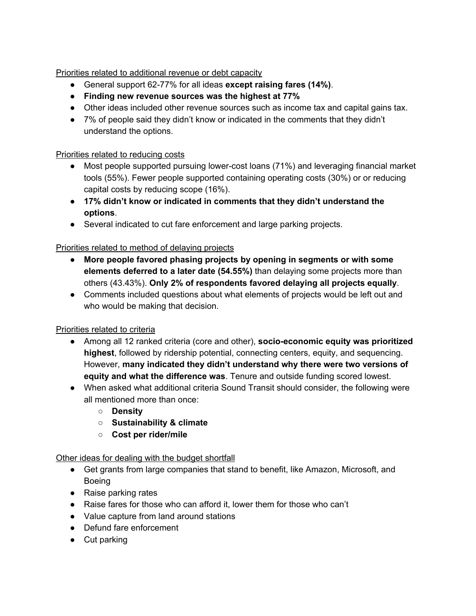Priorities related to additional revenue or debt capacity

- General support 62-77% for all ideas **except raising fares (14%)**.
- **● Finding new revenue sources was the highest at 77%**
- Other ideas included other revenue sources such as income tax and capital gains tax.
- 7% of people said they didn't know or indicated in the comments that they didn't understand the options.

### Priorities related to reducing costs

- Most people supported pursuing lower-cost loans (71%) and leveraging financial market tools (55%). Fewer people supported containing operating costs (30%) or or reducing capital costs by reducing scope (16%).
- **17% didn't know or indicated in comments that they didn't understand the options**.
- Several indicated to cut fare enforcement and large parking projects.

# Priorities related to method of delaying projects

- **More people favored phasing projects by opening in segments or with some elements deferred to a later date (54.55%)** than delaying some projects more than others (43.43%). **Only 2% of respondents favored delaying all projects equally**.
- Comments included questions about what elements of projects would be left out and who would be making that decision.

# Priorities related to criteria

- Among all 12 ranked criteria (core and other), **socio-economic equity was prioritized highest**, followed by ridership potential, connecting centers, equity, and sequencing. However, **many indicated they didn't understand why there were two versions of equity and what the difference was**. Tenure and outside funding scored lowest.
- When asked what additional criteria Sound Transit should consider, the following were all mentioned more than once:
	- **Density**
	- **Sustainability & climate**
	- **Cost per rider/mile**

#### Other ideas for dealing with the budget shortfall

- Get grants from large companies that stand to benefit, like Amazon, Microsoft, and Boeing
- Raise parking rates
- Raise fares for those who can afford it, lower them for those who can't
- Value capture from land around stations
- Defund fare enforcement
- Cut parking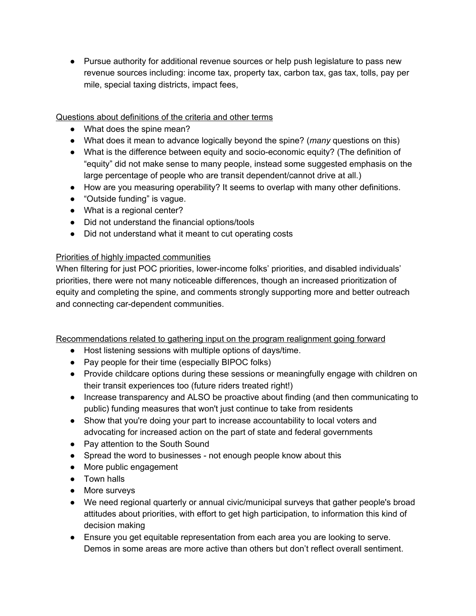• Pursue authority for additional revenue sources or help push legislature to pass new revenue sources including: income tax, property tax, carbon tax, gas tax, tolls, pay per mile, special taxing districts, impact fees,

### Questions about definitions of the criteria and other terms

- What does the spine mean?
- What does it mean to advance logically beyond the spine? (*many* questions on this)
- What is the difference between equity and socio-economic equity? (The definition of "equity" did not make sense to many people, instead some suggested emphasis on the large percentage of people who are transit dependent/cannot drive at all.)
- How are you measuring operability? It seems to overlap with many other definitions.
- "Outside funding" is vague.
- What is a regional center?
- Did not understand the financial options/tools
- Did not understand what it meant to cut operating costs

#### Priorities of highly impacted communities

When filtering for just POC priorities, lower-income folks' priorities, and disabled individuals' priorities, there were not many noticeable differences, though an increased prioritization of equity and completing the spine, and comments strongly supporting more and better outreach and connecting car-dependent communities.

Recommendations related to gathering input on the program realignment going forward

- Host listening sessions with multiple options of days/time.
- Pay people for their time (especially BIPOC folks)
- Provide childcare options during these sessions or meaningfully engage with children on their transit experiences too (future riders treated right!)
- Increase transparency and ALSO be proactive about finding (and then communicating to public) funding measures that won't just continue to take from residents
- Show that you're doing your part to increase accountability to local voters and advocating for increased action on the part of state and federal governments
- Pay attention to the South Sound
- Spread the word to businesses not enough people know about this
- More public engagement
- Town halls
- More surveys
- We need regional quarterly or annual civic/municipal surveys that gather people's broad attitudes about priorities, with effort to get high participation, to information this kind of decision making
- Ensure you get equitable representation from each area you are looking to serve. Demos in some areas are more active than others but don't reflect overall sentiment.